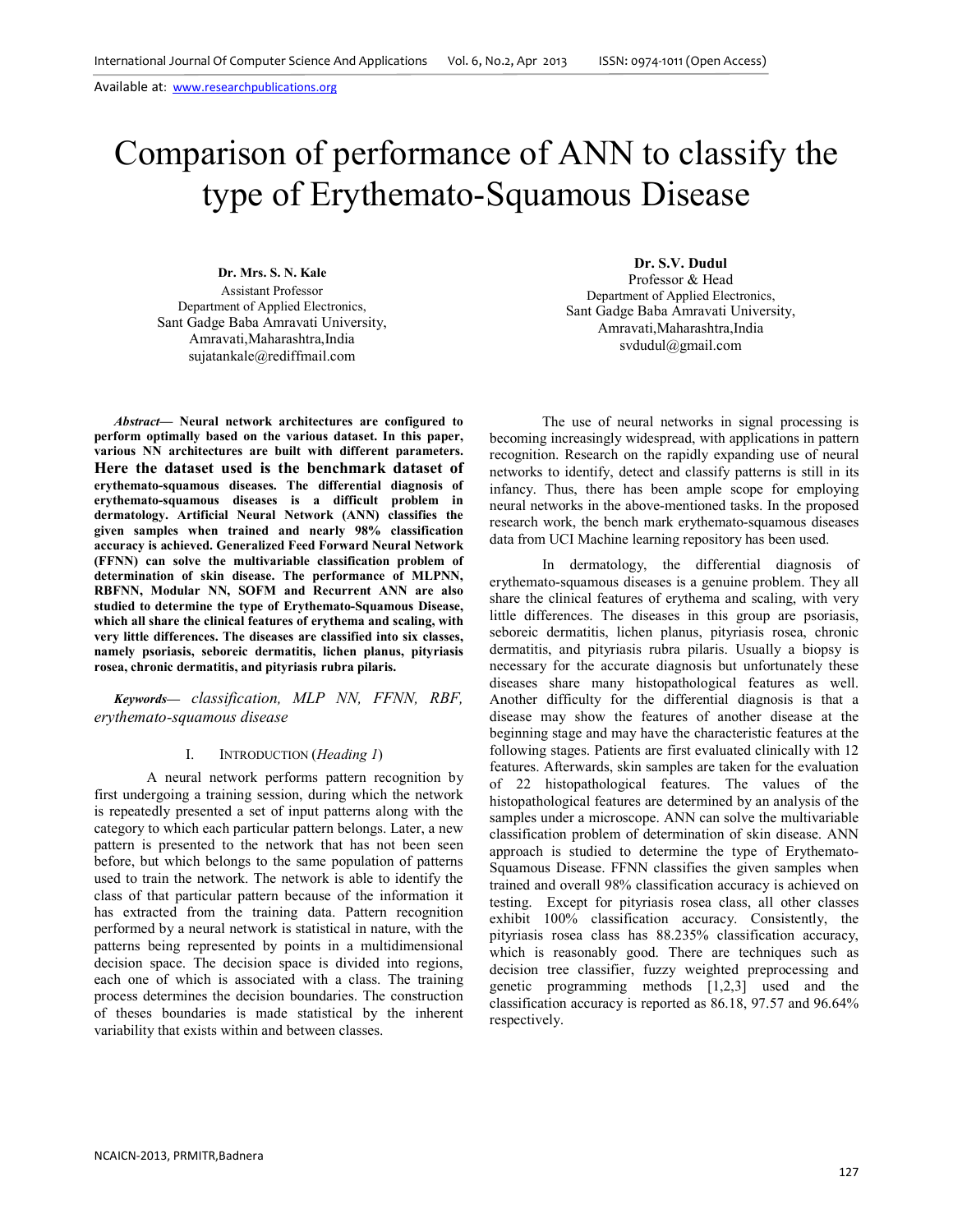# Comparison of performance of ANN to classify the type of Erythemato-Squamous Disease

**Dr. Mrs. S. N. Kale** Assistant Professor Department of Applied Electronics, Sant Gadge Baba Amravati University, Amravati,Maharashtra,India sujatankale@rediffmail.com

*Abstract***— Neural network architectures are configured to perform optimally based on the various dataset. In this paper, various NN architectures are built with different parameters. Here the dataset used is the benchmark dataset of erythemato-squamous diseases. The differential diagnosis of erythemato-squamous diseases is a difficult problem in dermatology. Artificial Neural Network (ANN) classifies the given samples when trained and nearly 98% classification accuracy is achieved. Generalized Feed Forward Neural Network (FFNN) can solve the multivariable classification problem of determination of skin disease. The performance of MLPNN, RBFNN, Modular NN, SOFM and Recurrent ANN are also studied to determine the type of Erythemato-Squamous Disease, which all share the clinical features of erythema and scaling, with very little differences. The diseases are classified into six classes, namely psoriasis, seboreic dermatitis, lichen planus, pityriasis rosea, chronic dermatitis, and pityriasis rubra pilaris.** 

*Keywords— classification, MLP NN, FFNN, RBF, erythemato-squamous disease* 

#### I. INTRODUCTION (*Heading 1*)

A neural network performs pattern recognition by first undergoing a training session, during which the network is repeatedly presented a set of input patterns along with the category to which each particular pattern belongs. Later, a new pattern is presented to the network that has not been seen before, but which belongs to the same population of patterns used to train the network. The network is able to identify the class of that particular pattern because of the information it has extracted from the training data. Pattern recognition performed by a neural network is statistical in nature, with the patterns being represented by points in a multidimensional decision space. The decision space is divided into regions, each one of which is associated with a class. The training process determines the decision boundaries. The construction of theses boundaries is made statistical by the inherent variability that exists within and between classes.

**Dr. S.V. Dudul**  Professor & Head Department of Applied Electronics, Sant Gadge Baba Amravati University, Amravati,Maharashtra,India svdudul@gmail.com

 The use of neural networks in signal processing is becoming increasingly widespread, with applications in pattern recognition. Research on the rapidly expanding use of neural networks to identify, detect and classify patterns is still in its infancy. Thus, there has been ample scope for employing neural networks in the above-mentioned tasks. In the proposed research work, the bench mark erythemato-squamous diseases data from UCI Machine learning repository has been used.

In dermatology, the differential diagnosis of erythemato-squamous diseases is a genuine problem. They all share the clinical features of erythema and scaling, with very little differences. The diseases in this group are psoriasis, seboreic dermatitis, lichen planus, pityriasis rosea, chronic dermatitis, and pityriasis rubra pilaris. Usually a biopsy is necessary for the accurate diagnosis but unfortunately these diseases share many histopathological features as well. Another difficulty for the differential diagnosis is that a disease may show the features of another disease at the beginning stage and may have the characteristic features at the following stages. Patients are first evaluated clinically with 12 features. Afterwards, skin samples are taken for the evaluation of 22 histopathological features. The values of the histopathological features are determined by an analysis of the samples under a microscope. ANN can solve the multivariable classification problem of determination of skin disease. ANN approach is studied to determine the type of Erythemato-Squamous Disease. FFNN classifies the given samples when trained and overall 98% classification accuracy is achieved on testing. Except for pityriasis rosea class, all other classes exhibit 100% classification accuracy. Consistently, the pityriasis rosea class has 88.235% classification accuracy, which is reasonably good. There are techniques such as decision tree classifier, fuzzy weighted preprocessing and genetic programming methods [1,2,3] used and the classification accuracy is reported as 86.18, 97.57 and 96.64% respectively.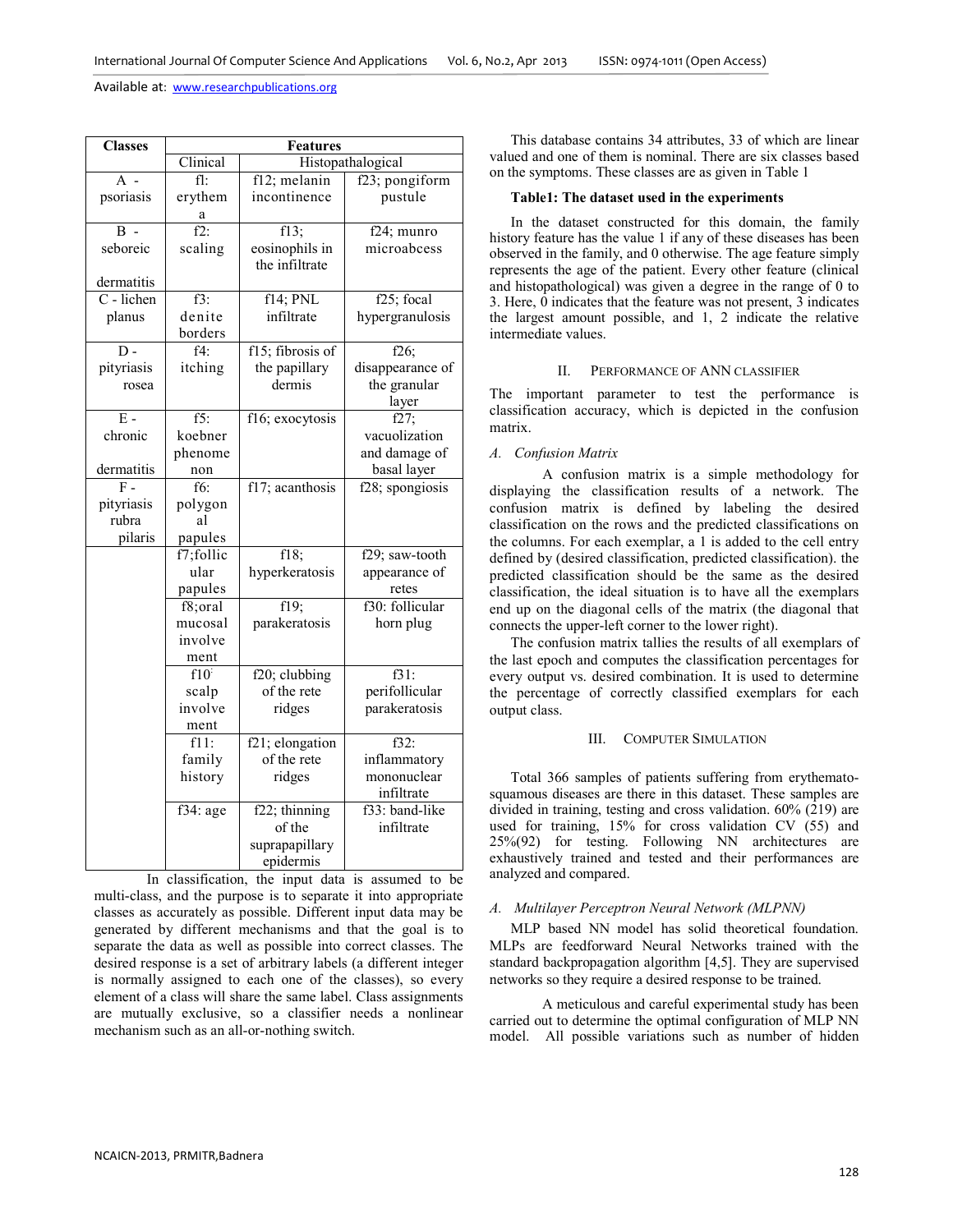| <b>Classes</b>   | <b>Features</b> |                  |                   |  |  |  |
|------------------|-----------------|------------------|-------------------|--|--|--|
|                  | Clinical        |                  | Histopathalogical |  |  |  |
| $A -$            | fl:             | f12; melanin     | f23; pongiform    |  |  |  |
| psoriasis        | erythem         | incontinence     | pustule           |  |  |  |
|                  | а               |                  |                   |  |  |  |
| $\mathbf{R}$ -   | $f2$ .          | f13;             | f24; munro        |  |  |  |
| seboreic         | scaling         | eosinophils in   | microabcess       |  |  |  |
|                  |                 | the infiltrate   |                   |  |  |  |
| dermatitis       |                 |                  |                   |  |  |  |
| C - lichen       | $f3$ :          | f14; PNL         | f25; focal        |  |  |  |
| planus           | denite          | infiltrate       | hypergranulosis   |  |  |  |
|                  | borders         |                  |                   |  |  |  |
| $\overline{D}$ - | $f4$ :          | f15; fibrosis of | $f26$ ;           |  |  |  |
| pityriasis       | itching         | the papillary    | disappearance of  |  |  |  |
| rosea            |                 | dermis           | the granular      |  |  |  |
|                  |                 |                  | layer             |  |  |  |
| $\overline{E}$ - | $f5$ :          | f16; exocytosis  | f27               |  |  |  |
| chronic          | koebner         |                  | vacuolization     |  |  |  |
|                  | phenome         |                  | and damage of     |  |  |  |
| dermatitis       | non             |                  | basal layer       |  |  |  |
| $F =$            | f6:             | f17; acanthosis  | f28; spongiosis   |  |  |  |
| pityriasis       | polygon         |                  |                   |  |  |  |
| rubra            | al              |                  |                   |  |  |  |
| pilaris          | papules         |                  |                   |  |  |  |
|                  | f7;follic       | f18;             | f29; saw-tooth    |  |  |  |
|                  | ular            | hyperkeratosis   | appearance of     |  |  |  |
|                  | papules         |                  | retes             |  |  |  |
|                  | f8;oral         | f19;             | f30: follicular   |  |  |  |
|                  | mucosal         | parakeratosis    | horn plug         |  |  |  |
|                  | involve         |                  |                   |  |  |  |
|                  | ment            |                  |                   |  |  |  |
|                  | $f10^{\circ}$   | f20; clubbing    | $f31$ :           |  |  |  |
|                  | scalp           | of the rete      | perifollicular    |  |  |  |
|                  | involve         | ridges           | parakeratosis     |  |  |  |
|                  | ment            |                  |                   |  |  |  |
|                  | $f11$ :         | f21; elongation  | f32:              |  |  |  |
|                  | family          | of the rete      | inflammatory      |  |  |  |
|                  | history         | ridges           | mononuclear       |  |  |  |
|                  |                 |                  | infiltrate        |  |  |  |
|                  | f34: age        | $f22$ ; thinning | f33: band-like    |  |  |  |
|                  |                 | of the           | infiltrate        |  |  |  |
|                  |                 | suprapapillary   |                   |  |  |  |
|                  |                 | epidermis        |                   |  |  |  |

In classification, the input data is assumed to be multi-class, and the purpose is to separate it into appropriate classes as accurately as possible. Different input data may be generated by different mechanisms and that the goal is to separate the data as well as possible into correct classes. The desired response is a set of arbitrary labels (a different integer is normally assigned to each one of the classes), so every element of a class will share the same label. Class assignments are mutually exclusive, so a classifier needs a nonlinear mechanism such as an all-or-nothing switch.

This database contains 34 attributes, 33 of which are linear valued and one of them is nominal. There are six classes based on the symptoms. These classes are as given in Table 1

## **Table1: The dataset used in the experiments**

In the dataset constructed for this domain, the family history feature has the value 1 if any of these diseases has been observed in the family, and 0 otherwise. The age feature simply represents the age of the patient. Every other feature (clinical and histopathological) was given a degree in the range of 0 to 3. Here, 0 indicates that the feature was not present, 3 indicates the largest amount possible, and 1, 2 indicate the relative intermediate values.

# II. PERFORMANCE OF ANN CLASSIFIER

The important parameter to test the performance is classification accuracy, which is depicted in the confusion matrix.

## *A. Confusion Matrix*

A confusion matrix is a simple methodology for displaying the classification results of a network. The confusion matrix is defined by labeling the desired classification on the rows and the predicted classifications on the columns. For each exemplar, a 1 is added to the cell entry defined by (desired classification, predicted classification). the predicted classification should be the same as the desired classification, the ideal situation is to have all the exemplars end up on the diagonal cells of the matrix (the diagonal that connects the upper-left corner to the lower right).

The confusion matrix tallies the results of all exemplars of the last epoch and computes the classification percentages for every output vs. desired combination. It is used to determine the percentage of correctly classified exemplars for each output class.

#### III. COMPUTER SIMULATION

Total 366 samples of patients suffering from erythematosquamous diseases are there in this dataset. These samples are divided in training, testing and cross validation. 60% (219) are used for training, 15% for cross validation CV (55) and 25%(92) for testing. Following NN architectures are exhaustively trained and tested and their performances are analyzed and compared.

## *A. Multilayer Perceptron Neural Network (MLPNN)*

MLP based NN model has solid theoretical foundation. MLPs are feedforward Neural Networks trained with the standard backpropagation algorithm [4,5]. They are supervised networks so they require a desired response to be trained.

A meticulous and careful experimental study has been carried out to determine the optimal configuration of MLP NN model. All possible variations such as number of hidden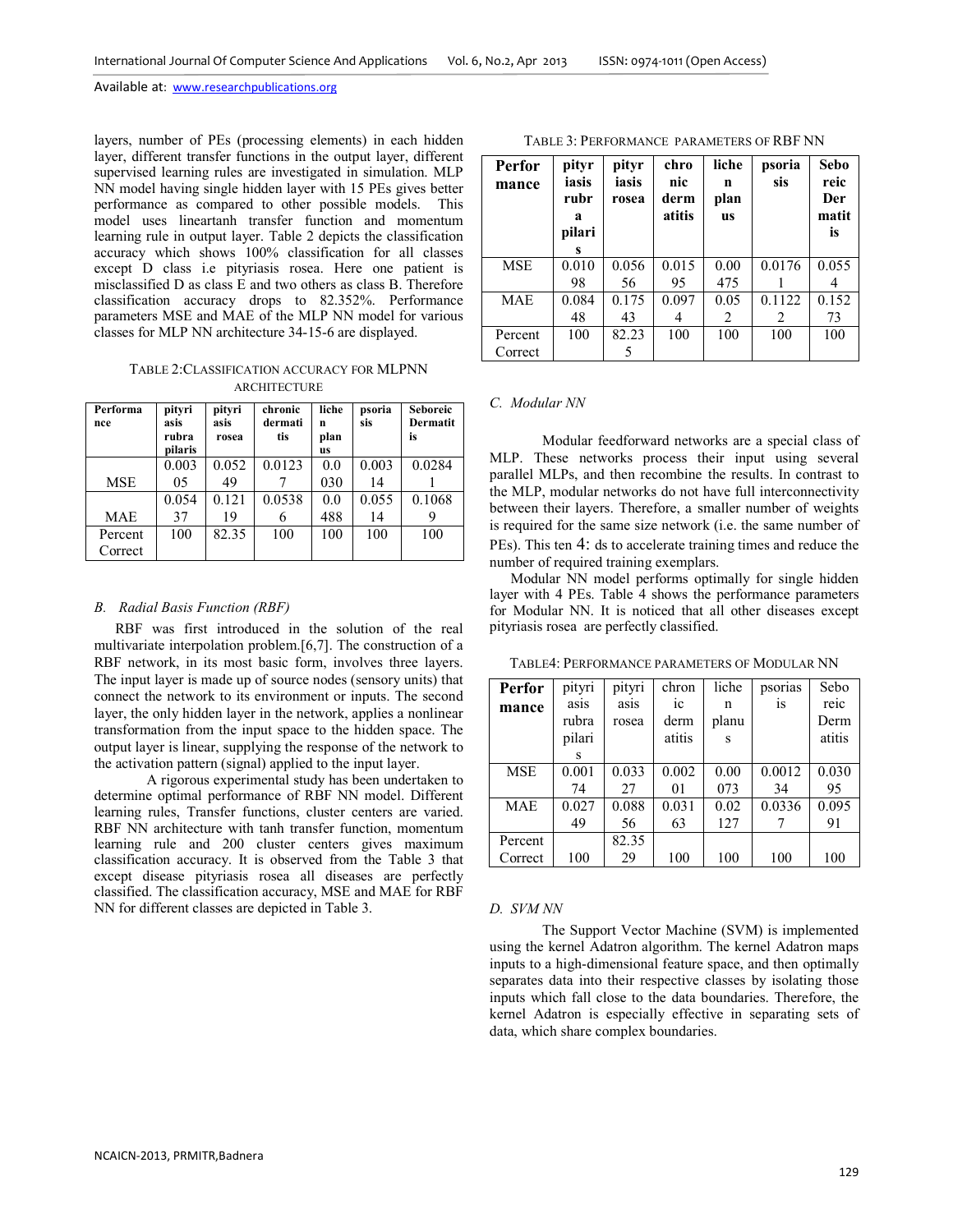layers, number of PEs (processing elements) in each hidden layer, different transfer functions in the output layer, different supervised learning rules are investigated in simulation. MLP NN model having single hidden layer with 15 PEs gives better performance as compared to other possible models. This model uses lineartanh transfer function and momentum learning rule in output layer. Table 2 depicts the classification accuracy which shows 100% classification for all classes except D class i.e pityriasis rosea. Here one patient is misclassified D as class E and two others as class B. Therefore classification accuracy drops to 82.352%. Performance parameters MSE and MAE of the MLP NN model for various classes for MLP NN architecture 34-15-6 are displayed.

TABLE 2:CLASSIFICATION ACCURACY FOR MLPNN **ARCHITECTURE** 

| Performa<br>nce | pityri<br>asis<br>rubra<br>pilaris | pityri<br>asis<br>rosea | chronic<br>dermati<br>tis | liche<br>n<br>plan<br><b>us</b> | psoria<br>sis | <b>Seboreic</b><br>Dermatit<br>is |
|-----------------|------------------------------------|-------------------------|---------------------------|---------------------------------|---------------|-----------------------------------|
|                 | 0.003                              | 0.052                   | 0.0123                    | 0.0                             | 0.003         | 0.0284                            |
| <b>MSE</b>      | 05                                 | 49                      |                           | 030                             | 14            |                                   |
|                 | 0.054                              | 0.121                   | 0.0538                    | 0.0                             | 0.055         | 0.1068                            |
| <b>MAE</b>      | 37                                 | 19                      | 6                         | 488                             | 14            |                                   |
| Percent         | 100                                | 82.35                   | 100                       | 100                             | 100           | 100                               |
| Correct         |                                    |                         |                           |                                 |               |                                   |

## *B. Radial Basis Function (RBF)*

RBF was first introduced in the solution of the real multivariate interpolation problem.[6,7]. The construction of a RBF network, in its most basic form, involves three layers. The input layer is made up of source nodes (sensory units) that connect the network to its environment or inputs. The second layer, the only hidden layer in the network, applies a nonlinear transformation from the input space to the hidden space. The output layer is linear, supplying the response of the network to the activation pattern (signal) applied to the input layer.

 A rigorous experimental study has been undertaken to determine optimal performance of RBF NN model. Different learning rules, Transfer functions, cluster centers are varied. RBF NN architecture with tanh transfer function, momentum learning rule and 200 cluster centers gives maximum classification accuracy. It is observed from the Table 3 that except disease pityriasis rosea all diseases are perfectly classified. The classification accuracy, MSE and MAE for RBF NN for different classes are depicted in Table 3.

| <b>Perfor</b><br>mance | pityr<br>iasis<br>rubr<br>a<br>pilari<br>s | pityr<br>iasis<br>rosea | chro<br>nic<br>derm<br>atitis | liche<br>n<br>plan<br><b>us</b> | psoria<br>sis | Sebo<br>reic<br>Der<br>matit<br>is |
|------------------------|--------------------------------------------|-------------------------|-------------------------------|---------------------------------|---------------|------------------------------------|
| MSE                    | 0.010<br>98                                | 0.056<br>56             | 0.015<br>95                   | 0.00<br>475                     | 0.0176        | 0.055                              |
| <b>MAE</b>             | 0.084<br>48                                | 0.175<br>43             | 0.097<br>4                    | 0.05<br>2                       | 0.1122<br>2   | 0.152<br>73                        |
| Percent<br>Correct     | 100                                        | 82.23<br>5              | 100                           | 100                             | 100           | 100                                |

## TABLE 3: PERFORMANCE PARAMETERS OF RBF NN

## *C. Modular NN*

Modular feedforward networks are a special class of MLP. These networks process their input using several parallel MLPs, and then recombine the results. In contrast to the MLP, modular networks do not have full interconnectivity between their layers. Therefore, a smaller number of weights is required for the same size network (i.e. the same number of PEs). This ten 4: ds to accelerate training times and reduce the number of required training exemplars.

Modular NN model performs optimally for single hidden layer with 4 PEs. Table 4 shows the performance parameters for Modular NN. It is noticed that all other diseases except pityriasis rosea are perfectly classified.

TABLE4: PERFORMANCE PARAMETERS OF MODULAR NN

| Perfor     | pityri | pityri | chron          | liche | psorias       | Sebo   |
|------------|--------|--------|----------------|-------|---------------|--------|
| mance      | asis   | asis   | 1 <sup>c</sup> | n     | <sub>1s</sub> | reic   |
|            | rubra  | rosea  | derm           | planu |               | Derm   |
|            | pilari |        | atitis         | S     |               | atitis |
|            | S      |        |                |       |               |        |
| <b>MSE</b> | 0.001  | 0.033  | 0.002          | 0.00  | 0.0012        | 0.030  |
|            | 74     | 27     | 01             | 073   | 34            | 95     |
| <b>MAE</b> | 0.027  | 0.088  | 0.031          | 0.02  | 0.0336        | 0.095  |
|            | 49     | 56     | 63             | 127   |               | 91     |
| Percent    |        | 82.35  |                |       |               |        |
| Correct    | 100    | 29     | 100            | 100   | 100           | 100    |

#### *D. SVM NN*

The Support Vector Machine (SVM) is implemented using the kernel Adatron algorithm. The kernel Adatron maps inputs to a high-dimensional feature space, and then optimally separates data into their respective classes by isolating those inputs which fall close to the data boundaries. Therefore, the kernel Adatron is especially effective in separating sets of data, which share complex boundaries.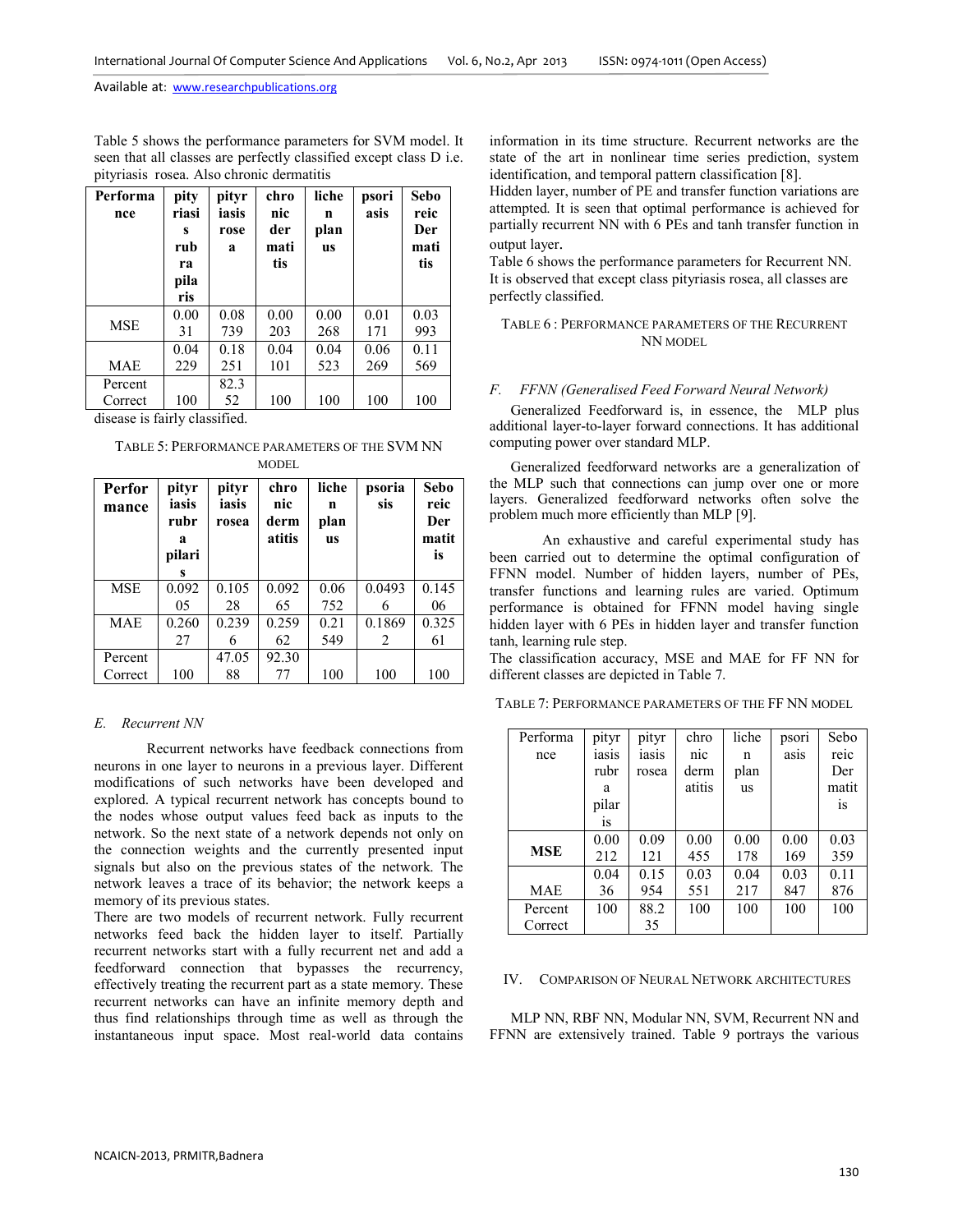Table 5 shows the performance parameters for SVM model. It seen that all classes are perfectly classified except class D i.e. pityriasis rosea. Also chronic dermatitis

| Performa<br>nce    | pity<br>riasi<br>S<br>rub<br>ra<br>pila<br>ris | pityr<br>iasis<br>rose<br>a       | chro<br>nic<br>der<br>mati<br>tis | liche<br>n<br>plan<br><b>us</b> | psori<br>asis | Sebo<br>reic<br>Der<br>mati<br>tis |
|--------------------|------------------------------------------------|-----------------------------------|-----------------------------------|---------------------------------|---------------|------------------------------------|
| <b>MSE</b>         | 0.00<br>31                                     | 0.08<br>739                       | 0.00<br>203                       | 0.00<br>268                     | 0.01<br>171   | 0.03<br>993                        |
|                    | 0.04                                           | 0.18                              | 0.04                              | 0.04                            | 0.06          | 0.11                               |
| <b>MAE</b>         | 229                                            | 251                               | 101                               | 523                             | 269           | 569                                |
| Percent            |                                                | 82.3                              |                                   |                                 |               |                                    |
| Correct<br>$\cdot$ | 100<br>$\sim$ $\sim$ $\sim$<br>$\mathbf{r}$    | 52<br>$\sim$ $\sim$ $\sim$ $\sim$ | 100                               | 100                             | 100           | 100                                |

disease is fairly classified.

#### TABLE 5: PERFORMANCE PARAMETERS OF THE SVM NN MODEL

| <b>Perfor</b><br>mance | pityr<br>iasis<br>rubr<br>a<br>pilari<br>s | pityr<br>iasis<br>rosea | chro<br>nic<br>derm<br>atitis | liche<br>n<br>plan<br><b>us</b> | psoria<br>sis | Sebo<br>reic<br>Der<br>matit<br>is |
|------------------------|--------------------------------------------|-------------------------|-------------------------------|---------------------------------|---------------|------------------------------------|
| <b>MSE</b>             | 0.092                                      | 0.105                   | 0.092                         | 0.06                            | 0.0493        | 0.145                              |
|                        | 05                                         | 28                      | 65                            | 752                             | 6             | 06                                 |
| <b>MAE</b>             | 0.260                                      | 0.239                   | 0.259                         | 0.21                            | 0.1869        | 0.325                              |
|                        | 27                                         | 6                       | 62                            | 549                             | 2             | 61                                 |
| Percent<br>Correct     | 100                                        | 47.05<br>88             | 92.30<br>77                   | 100                             | 100           | 100                                |

## *E. Recurrent NN*

Recurrent networks have feedback connections from neurons in one layer to neurons in a previous layer. Different modifications of such networks have been developed and explored. A typical recurrent network has concepts bound to the nodes whose output values feed back as inputs to the network. So the next state of a network depends not only on the connection weights and the currently presented input signals but also on the previous states of the network. The network leaves a trace of its behavior; the network keeps a memory of its previous states.

There are two models of recurrent network. Fully recurrent networks feed back the hidden layer to itself. Partially recurrent networks start with a fully recurrent net and add a feedforward connection that bypasses the recurrency, effectively treating the recurrent part as a state memory. These recurrent networks can have an infinite memory depth and thus find relationships through time as well as through the instantaneous input space. Most real-world data contains information in its time structure. Recurrent networks are the state of the art in nonlinear time series prediction, system identification, and temporal pattern classification [8].

Hidden layer, number of PE and transfer function variations are attempted. It is seen that optimal performance is achieved for partially recurrent NN with 6 PEs and tanh transfer function in output layer.

Table 6 shows the performance parameters for Recurrent NN. It is observed that except class pityriasis rosea, all classes are perfectly classified.

## TABLE 6 : PERFORMANCE PARAMETERS OF THE RECURRENT NN MODEL

## *F. FFNN (Generalised Feed Forward Neural Network)*

Generalized Feedforward is, in essence, the MLP plus additional layer-to-layer forward connections. It has additional computing power over standard MLP.

Generalized feedforward networks are a generalization of the MLP such that connections can jump over one or more layers. Generalized feedforward networks often solve the problem much more efficiently than MLP [9].

An exhaustive and careful experimental study has been carried out to determine the optimal configuration of FFNN model. Number of hidden layers, number of PEs, transfer functions and learning rules are varied. Optimum performance is obtained for FFNN model having single hidden layer with 6 PEs in hidden layer and transfer function tanh, learning rule step.

The classification accuracy, MSE and MAE for FF NN for different classes are depicted in Table 7.

TABLE 7: PERFORMANCE PARAMETERS OF THE FF NN MODEL

| Performa   | pityr         | pityr | chro   | liche     | psori | Sebo          |
|------------|---------------|-------|--------|-----------|-------|---------------|
| nce        | iasis         | iasis | nic    | n         | asis  | reic          |
|            | rubr          | rosea | derm   | plan      |       | Der           |
|            | a             |       | atitis | <b>us</b> |       | matit         |
|            | pilar         |       |        |           |       | <sub>1s</sub> |
|            | <sub>is</sub> |       |        |           |       |               |
|            | 0.00          | 0.09  | 0.00   | 0.00      | 0.00  | 0.03          |
| <b>MSE</b> | 212           | 121   | 455    | 178       | 169   | 359           |
|            | 0.04          | 0.15  | 0.03   | 0.04      | 0.03  | 0.11          |
| MAE        | 36            | 954   | 551    | 217       | 847   | 876           |
| Percent    | 100           | 88.2  | 100    | 100       | 100   | 100           |
| Correct    |               | 35    |        |           |       |               |

#### IV. COMPARISON OF NEURAL NETWORK ARCHITECTURES

MLP NN, RBF NN, Modular NN, SVM, Recurrent NN and FFNN are extensively trained. Table 9 portrays the various